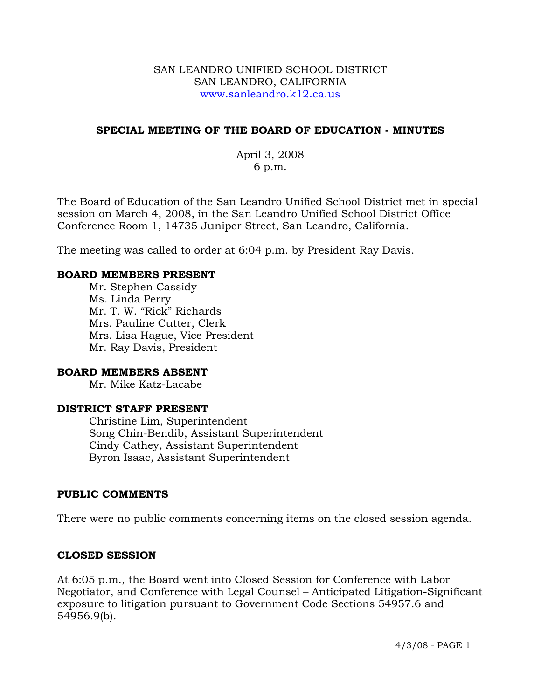#### SAN LEANDRO UNIFIED SCHOOL DISTRICT SAN LEANDRO, CALIFORNIA www.sanleandro.k12.ca.us

### **SPECIAL MEETING OF THE BOARD OF EDUCATION - MINUTES**

April 3, 2008 6 p.m.

The Board of Education of the San Leandro Unified School District met in special session on March 4, 2008, in the San Leandro Unified School District Office Conference Room 1, 14735 Juniper Street, San Leandro, California.

The meeting was called to order at 6:04 p.m. by President Ray Davis.

#### **BOARD MEMBERS PRESENT**

Mr. Stephen Cassidy Ms. Linda Perry Mr. T. W. "Rick" Richards Mrs. Pauline Cutter, Clerk Mrs. Lisa Hague, Vice President Mr. Ray Davis, President

#### **BOARD MEMBERS ABSENT**

Mr. Mike Katz-Lacabe

#### **DISTRICT STAFF PRESENT**

Christine Lim, Superintendent Song Chin-Bendib, Assistant Superintendent Cindy Cathey, Assistant Superintendent Byron Isaac, Assistant Superintendent

#### **PUBLIC COMMENTS**

There were no public comments concerning items on the closed session agenda.

#### **CLOSED SESSION**

At 6:05 p.m., the Board went into Closed Session for Conference with Labor Negotiator, and Conference with Legal Counsel – Anticipated Litigation-Significant exposure to litigation pursuant to Government Code Sections 54957.6 and 54956.9(b).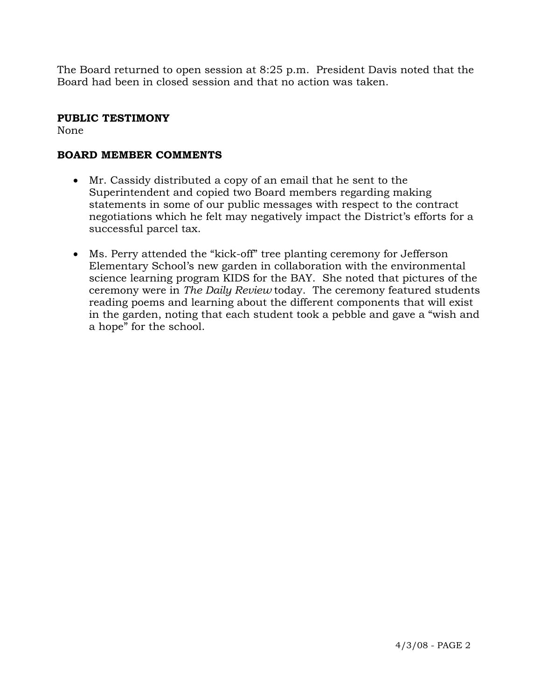The Board returned to open session at 8:25 p.m. President Davis noted that the Board had been in closed session and that no action was taken.

# **PUBLIC TESTIMONY**

None

# **BOARD MEMBER COMMENTS**

- Mr. Cassidy distributed a copy of an email that he sent to the Superintendent and copied two Board members regarding making statements in some of our public messages with respect to the contract negotiations which he felt may negatively impact the District's efforts for a successful parcel tax.
- Ms. Perry attended the "kick-off" tree planting ceremony for Jefferson Elementary School's new garden in collaboration with the environmental science learning program KIDS for the BAY. She noted that pictures of the ceremony were in *The Daily Review* today. The ceremony featured students reading poems and learning about the different components that will exist in the garden, noting that each student took a pebble and gave a "wish and a hope" for the school.